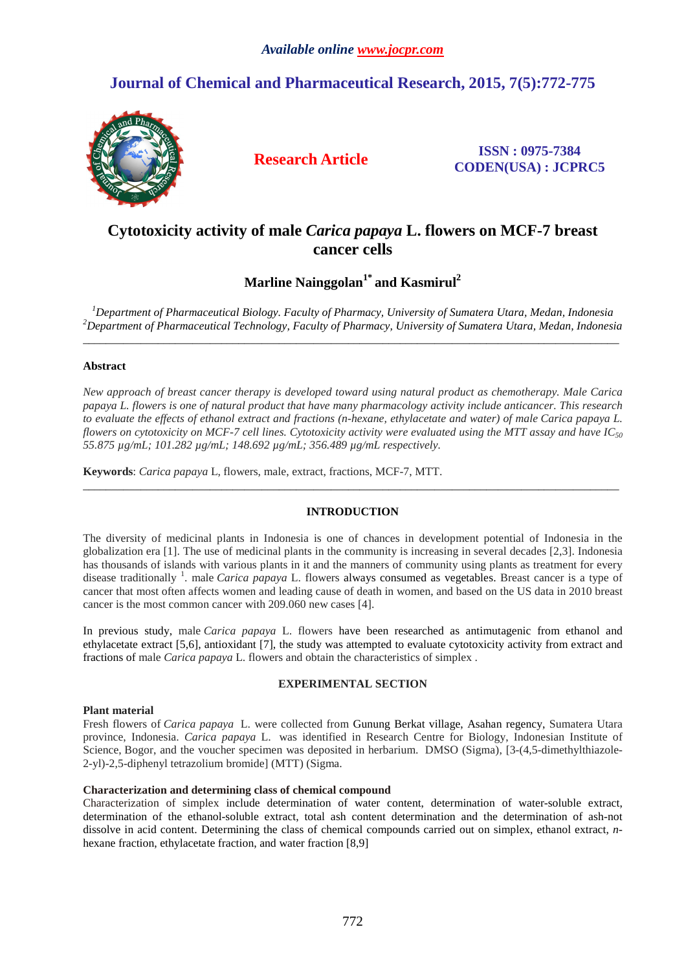# **Journal of Chemical and Pharmaceutical Research, 2015, 7(5):772-775**



**Research Article ISSN : 0975-7384 CODEN(USA) : JCPRC5**

## **Cytotoxicity activity of male** *Carica papaya* **L. flowers on MCF-7 breast cancer cells**

**Marline Nainggolan1\* and Kasmirul<sup>2</sup>**

*<sup>1</sup>Department of Pharmaceutical Biology. Faculty of Pharmacy, University of Sumatera Utara, Medan, Indonesia <sup>2</sup>Department of Pharmaceutical Technology, Faculty of Pharmacy, University of Sumatera Utara, Medan, Indonesia*   $\overline{a}$  , and the contribution of the contribution of the contribution of the contribution of the contribution of the contribution of the contribution of the contribution of the contribution of the contribution of the co

## **Abstract**

*New approach of breast cancer therapy is developed toward using natural product as chemotherapy. Male Carica papaya L. flowers is one of natural product that have many pharmacology activity include anticancer. This research to evaluate the effects of ethanol extract and fractions (n-hexane, ethylacetate and water) of male Carica papaya L. flowers on cytotoxicity on MCF-7 cell lines. Cytotoxicity activity were evaluated using the MTT assay and have IC<sup>50</sup> 55.875 µg/mL; 101.282 µg/mL; 148.692 µg/mL; 356.489 µg/mL respectively.* 

**Keywords**: *Carica papaya* L, flowers, male, extract, fractions, MCF-7, MTT.

## **INTRODUCTION**

\_\_\_\_\_\_\_\_\_\_\_\_\_\_\_\_\_\_\_\_\_\_\_\_\_\_\_\_\_\_\_\_\_\_\_\_\_\_\_\_\_\_\_\_\_\_\_\_\_\_\_\_\_\_\_\_\_\_\_\_\_\_\_\_\_\_\_\_\_\_\_\_\_\_\_\_\_\_\_\_\_\_\_\_\_\_\_\_\_\_\_\_\_

The diversity of medicinal plants in Indonesia is one of chances in development potential of Indonesia in the globalization era [1]. The use of medicinal plants in the community is increasing in several decades [2,3]. Indonesia has thousands of islands with various plants in it and the manners of community using plants as treatment for every disease traditionally <sup>1</sup>. male *Carica papaya* L. flowers always consumed as vegetables. Breast cancer is a type of cancer that most often affects women and leading cause of death in women, and based on the US data in 2010 breast cancer is the most common cancer with 209.060 new cases [4].

In previous study, male *Carica papaya* L. flowers have been researched as antimutagenic from ethanol and ethylacetate extract [5,6], antioxidant [7], the study was attempted to evaluate cytotoxicity activity from extract and fractions of male *Carica papaya* L. flowers and obtain the characteristics of simplex .

### **EXPERIMENTAL SECTION**

### **Plant material**

Fresh flowers of *Carica papaya* L. were collected from Gunung Berkat village, Asahan regency, Sumatera Utara province, Indonesia. *Carica papaya* L. was identified in Research Centre for Biology, Indonesian Institute of Science, Bogor, and the voucher specimen was deposited in herbarium. DMSO (Sigma), [3-(4,5-dimethylthiazole-2-yl)-2,5-diphenyl tetrazolium bromide] (MTT) (Sigma.

### **Characterization and determining class of chemical compound**

Characterization of simplex include determination of water content, determination of water-soluble extract, determination of the ethanol-soluble extract, total ash content determination and the determination of ash-not dissolve in acid content. Determining the class of chemical compounds carried out on simplex, ethanol extract, *n*hexane fraction, ethylacetate fraction, and water fraction [8,9]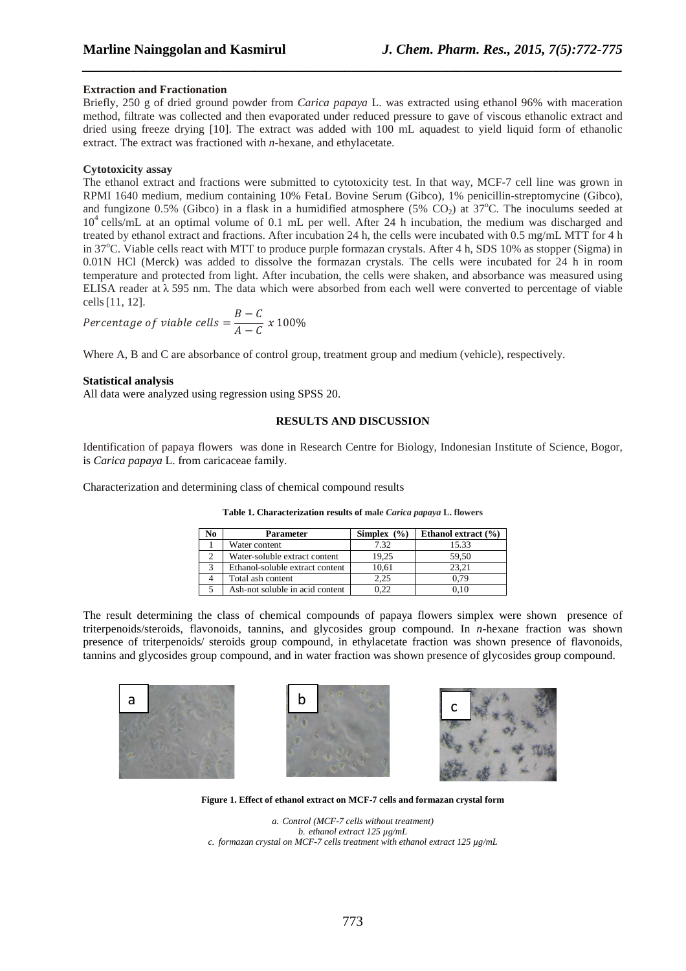#### **Extraction and Fractionation**

Briefly, 250 g of dried ground powder from *Carica papaya* L. was extracted using ethanol 96% with maceration method, filtrate was collected and then evaporated under reduced pressure to gave of viscous ethanolic extract and dried using freeze drying [10]. The extract was added with 100 mL aquadest to yield liquid form of ethanolic extract. The extract was fractioned with *n*-hexane, and ethylacetate.

*\_\_\_\_\_\_\_\_\_\_\_\_\_\_\_\_\_\_\_\_\_\_\_\_\_\_\_\_\_\_\_\_\_\_\_\_\_\_\_\_\_\_\_\_\_\_\_\_\_\_\_\_\_\_\_\_\_\_\_\_\_\_\_\_\_\_\_\_\_\_\_\_\_\_\_\_\_\_*

#### **Cytotoxicity assay**

The ethanol extract and fractions were submitted to cytotoxicity test. In that way, MCF-7 cell line was grown in RPMI 1640 medium, medium containing 10% FetaL Bovine Serum (Gibco), 1% penicillin-streptomycine (Gibco), and fungizone 0.5% (Gibco) in a flask in a humidified atmosphere (5% CO<sub>2</sub>) at 37<sup>o</sup>C. The inoculums seeded at 10<sup>4</sup> cells/mL at an optimal volume of 0.1 mL per well. After 24 h incubation, the medium was discharged and treated by ethanol extract and fractions. After incubation 24 h, the cells were incubated with 0.5 mg/mL MTT for 4 h in  $37^{\circ}$ C. Viable cells react with MTT to produce purple formazan crystals. After 4 h, SDS 10% as stopper (Sigma) in 0.01N HCl (Merck) was added to dissolve the formazan crystals. The cells were incubated for 24 h in room temperature and protected from light. After incubation, the cells were shaken, and absorbance was measured using ELISA reader at  $\lambda$  595 nm. The data which were absorbed from each well were converted to percentage of viable cells[11, 12].

$$
Percentage of viable cells = \frac{B - C}{A - C} \times 100\%
$$

Where A, B and C are absorbance of control group, treatment group and medium (vehicle), respectively.

#### **Statistical analysis**

All data were analyzed using regression using SPSS 20.

#### **RESULTS AND DISCUSSION**

Identification of papaya flowers was done in Research Centre for Biology, Indonesian Institute of Science, Bogor, is *Carica papaya* L. from caricaceae family.

Characterization and determining class of chemical compound results

| No | Parameter                       | Simplex $(\% )$ | Ethanol extract $(\% )$ |
|----|---------------------------------|-----------------|-------------------------|
|    | Water content                   | 7.32            | 15.33                   |
|    | Water-soluble extract content   | 19.25           | 59.50                   |
|    | Ethanol-soluble extract content | 10.61           | 23.21                   |
|    | Total ash content               | 2.25            | 0.79                    |
|    | Ash-not soluble in acid content | ).22            |                         |

**Table 1. Characterization results of male** *Carica papaya* **L. flowers**

The result determining the class of chemical compounds of papaya flowers simplex were shown presence of triterpenoids/steroids, flavonoids, tannins, and glycosides group compound. In *n*-hexane fraction was shown presence of triterpenoids/ steroids group compound, in ethylacetate fraction was shown presence of flavonoids, tannins and glycosides group compound, and in water fraction was shown presence of glycosides group compound.







**Figure 1. Effect of ethanol extract on MCF-7 cells and formazan crystal form** 

*a. Control (MCF-7 cells without treatment) b. ethanol extract 125 µg/mL c. formazan crystal on MCF-7 cells treatment with ethanol extract 125 µg/mL*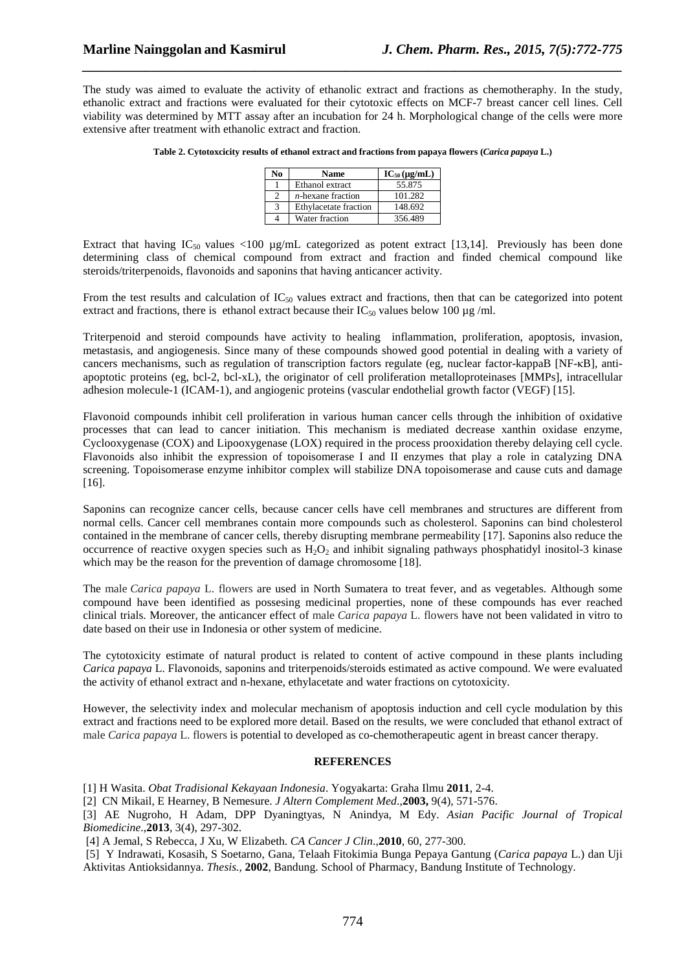The study was aimed to evaluate the activity of ethanolic extract and fractions as chemotheraphy. In the study, ethanolic extract and fractions were evaluated for their cytotoxic effects on MCF-7 breast cancer cell lines. Cell viability was determined by MTT assay after an incubation for 24 h. Morphological change of the cells were more extensive after treatment with ethanolic extract and fraction.

*\_\_\_\_\_\_\_\_\_\_\_\_\_\_\_\_\_\_\_\_\_\_\_\_\_\_\_\_\_\_\_\_\_\_\_\_\_\_\_\_\_\_\_\_\_\_\_\_\_\_\_\_\_\_\_\_\_\_\_\_\_\_\_\_\_\_\_\_\_\_\_\_\_\_\_\_\_\_*

| Table 2. Cytotoxcicity results of ethanol extract and fractions from papaya flowers (Carica papaya L.) |  |
|--------------------------------------------------------------------------------------------------------|--|
|                                                                                                        |  |

| No | Name                  | $IC_{50}(\mu g/mL)$ |
|----|-----------------------|---------------------|
|    | Ethanol extract       | 55.875              |
|    | $n$ -hexane fraction  | 101.282             |
|    | Ethylacetate fraction | 148.692             |
|    | Water fraction        | 356.489             |

Extract that having  $IC_{50}$  values <100  $\mu$ g/mL categorized as potent extract [13,14]. Previously has been done determining class of chemical compound from extract and fraction and finded chemical compound like steroids/triterpenoids, flavonoids and saponins that having anticancer activity.

From the test results and calculation of  $IC_{50}$  values extract and fractions, then that can be categorized into potent extract and fractions, there is ethanol extract because their  $IC_{50}$  values below 100  $\mu$ g/ml.

Triterpenoid and steroid compounds have activity to healing inflammation, proliferation, apoptosis, invasion, metastasis, and angiogenesis. Since many of these compounds showed good potential in dealing with a variety of cancers mechanisms, such as regulation of transcription factors regulate (eg, nuclear factor-kappaB [NF-κB], antiapoptotic proteins (eg, bcl-2, bcl-xL), the originator of cell proliferation metalloproteinases [MMPs], intracellular adhesion molecule-1 (ICAM-1), and angiogenic proteins (vascular endothelial growth factor (VEGF) [15].

Flavonoid compounds inhibit cell proliferation in various human cancer cells through the inhibition of oxidative processes that can lead to cancer initiation. This mechanism is mediated decrease xanthin oxidase enzyme, Cyclooxygenase (COX) and Lipooxygenase (LOX) required in the process prooxidation thereby delaying cell cycle. Flavonoids also inhibit the expression of topoisomerase I and II enzymes that play a role in catalyzing DNA screening. Topoisomerase enzyme inhibitor complex will stabilize DNA topoisomerase and cause cuts and damage [16].

Saponins can recognize cancer cells, because cancer cells have cell membranes and structures are different from normal cells. Cancer cell membranes contain more compounds such as cholesterol. Saponins can bind cholesterol contained in the membrane of cancer cells, thereby disrupting membrane permeability [17]. Saponins also reduce the occurrence of reactive oxygen species such as  $H_2O_2$  and inhibit signaling pathways phosphatidyl inositol-3 kinase which may be the reason for the prevention of damage chromosome [18].

The male *Carica papaya* L. flowers are used in North Sumatera to treat fever, and as vegetables. Although some compound have been identified as possesing medicinal properties, none of these compounds has ever reached clinical trials. Moreover, the anticancer effect of male *Carica papaya* L. flowers have not been validated in vitro to date based on their use in Indonesia or other system of medicine.

The cytotoxicity estimate of natural product is related to content of active compound in these plants including *Carica papaya* L. Flavonoids, saponins and triterpenoids/steroids estimated as active compound. We were evaluated the activity of ethanol extract and n-hexane, ethylacetate and water fractions on cytotoxicity.

However, the selectivity index and molecular mechanism of apoptosis induction and cell cycle modulation by this extract and fractions need to be explored more detail. Based on the results, we were concluded that ethanol extract of male *Carica papaya* L. flowers is potential to developed as co-chemotherapeutic agent in breast cancer therapy.

#### **REFERENCES**

[1] H Wasita. *Obat Tradisional Kekayaan Indonesia*. Yogyakarta: Graha Ilmu **2011**, 2-4.

[2] CN Mikail, E Hearney, B Nemesure. *J Altern Complement Med*.,**2003,** 9(4), 571-576.

[3] AE Nugroho, H Adam, DPP Dyaningtyas, N Anindya, M Edy. *Asian Pacific Journal of Tropical Biomedicine*.,**2013**, 3(4), 297-302.

[4] A Jemal, S Rebecca, J Xu, W Elizabeth. *CA Cancer J Clin*.,**2010**, 60, 277-300.

 [5] Y Indrawati, Kosasih, S Soetarno, Gana, Telaah Fitokimia Bunga Pepaya Gantung (*Carica papaya* L.) dan Uji Aktivitas Antioksidannya. *Thesis.,* **2002**, Bandung. School of Pharmacy, Bandung Institute of Technology.